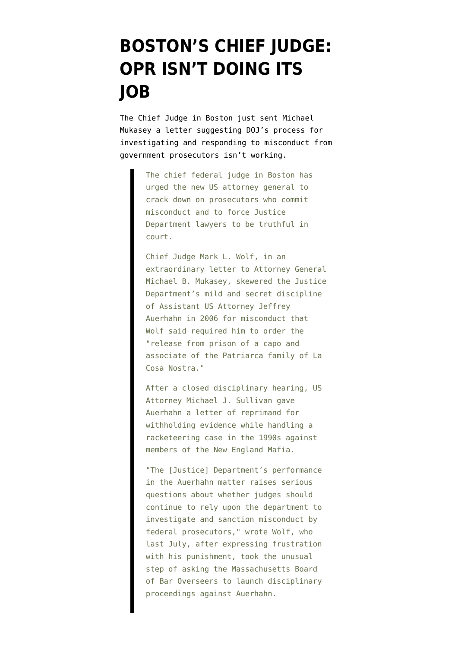## **[BOSTON'S CHIEF JUDGE:](https://www.emptywheel.net/2008/01/06/bostons-chief-judge-opr-isnt-doing-its-job/) [OPR ISN'T DOING ITS](https://www.emptywheel.net/2008/01/06/bostons-chief-judge-opr-isnt-doing-its-job/) [JOB](https://www.emptywheel.net/2008/01/06/bostons-chief-judge-opr-isnt-doing-its-job/)**

The Chief Judge in Boston [just sent Michael](http://www.boston.com/news/local/massachusetts/articles/2008/01/05/us_judge_chastises_dept_of_justice/) [Mukasey a letter](http://www.boston.com/news/local/massachusetts/articles/2008/01/05/us_judge_chastises_dept_of_justice/) suggesting DOJ's process for investigating and responding to misconduct from government prosecutors isn't working.

> The chief federal judge in Boston has urged the new US attorney general to crack down on prosecutors who commit misconduct and to force Justice Department lawyers to be truthful in court.

Chief Judge Mark L. Wolf, in an extraordinary letter to Attorney General Michael B. Mukasey, skewered the Justice Department's mild and secret discipline of Assistant US Attorney Jeffrey Auerhahn in 2006 for misconduct that Wolf said required him to order the "release from prison of a capo and associate of the Patriarca family of La Cosa Nostra."

After a closed disciplinary hearing, US Attorney Michael J. Sullivan gave Auerhahn a letter of reprimand for withholding evidence while handling a racketeering case in the 1990s against members of the New England Mafia.

"The [Justice] Department's performance in the Auerhahn matter raises serious questions about whether judges should continue to rely upon the department to investigate and sanction misconduct by federal prosecutors," wrote Wolf, who last July, after expressing frustration with his punishment, took the unusual step of asking the Massachusetts Board of Bar Overseers to launch disciplinary proceedings against Auerhahn.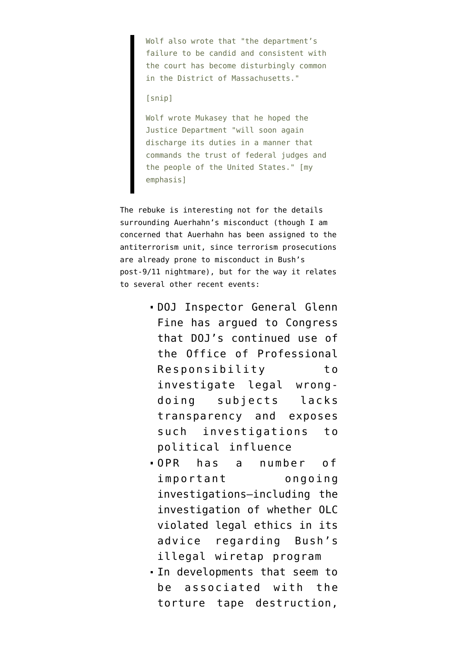Wolf also wrote that "the department's failure to be candid and consistent with the court has become disturbingly common in the District of Massachusetts."

## [snip]

Wolf wrote Mukasey that he hoped the Justice Department "will soon again discharge its duties in a manner that commands the trust of federal judges and the people of the United States." [my emphasis]

The rebuke is interesting not for the details surrounding Auerhahn's misconduct (though I am concerned that Auerhahn has been assigned to the antiterrorism unit, since terrorism prosecutions are already prone to misconduct in Bush's post-9/11 nightmare), but for the way it relates to several other recent events:

- DOJ Inspector General Glenn Fine has argued to Congress that DOJ's continued use of the Office of Professional Responsibility to investigate legal wrongdoing subjects lacks transparency and exposes such investigations to political influence
- OPR has a number of important ongoing investigations–including the investigation of whether OLC violated legal ethics in its advice regarding Bush's illegal wiretap program
- In developments that seem to be associated with the torture tape destruction,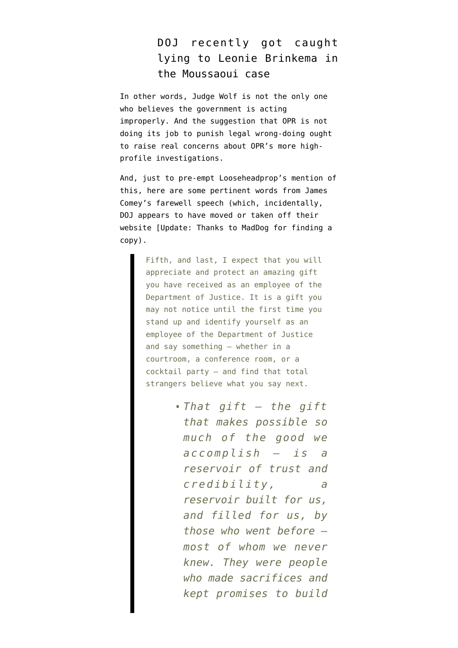## DOJ recently got caught lying to Leonie Brinkema in the Moussaoui case

In other words, Judge Wolf is not the only one who believes the government is acting improperly. And the suggestion that OPR is not doing its job to punish legal wrong-doing ought to raise real concerns about OPR's more highprofile investigations.

And, just to pre-empt Looseheadprop's mention of this, here are some [pertinent words](http://firedoglake.com/2007/05/03/james-comey-hjc-testimony-liveblog/) from James Comey's farewell speech (which, incidentally, DOJ appears to have moved or [taken off their](http://www.usdoj.gov/dag/speech/2005/dagfarewell.htm) [website](http://www.usdoj.gov/dag/speech/2005/dagfarewell.htm) [Update: Thanks to [MadDog](http://emptywheel.firedoglake.com/2008/01/06/bostons-chief-judge-opr-isnt-doing-its-job/#comment-42653) for finding [a](http://149.101.1.32/archive/dag/speeches/2005/dagfarewell.htm) [copy](http://149.101.1.32/archive/dag/speeches/2005/dagfarewell.htm)).

> Fifth, and last, I expect that you will appreciate and protect an amazing gift you have received as an employee of the Department of Justice. It is a gift you may not notice until the first time you stand up and identify yourself as an employee of the Department of Justice and say something – whether in a courtroom, a conference room, or a cocktail party – and find that total strangers believe what you say next.

> > *That gift – the gift that makes possible so much of the good we accomplish – is a reservoir of trust and credibility, a reservoir built for us, and filled for us, by those who went before – most of whom we never knew. They were people who made sacrifices and kept promises to build*